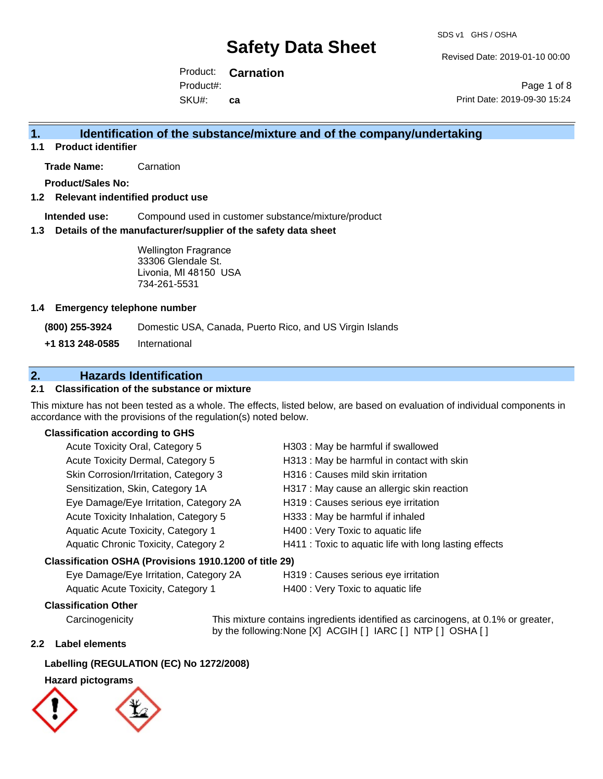Revised Date: 2019-01-10 00:00

Product: **Carnation** SKU#: Product#: **ca**

Page 1 of 8 Print Date: 2019-09-30 15:24

## **1. Identification of the substance/mixture and of the company/undertaking**

**1.1 Product identifier**

**Trade Name:** Carnation

**Product/Sales No:**

## **1.2 Relevant indentified product use**

**Intended use:** Compound used in customer substance/mixture/product

### **1.3 Details of the manufacturer/supplier of the safety data sheet**

Wellington Fragrance 33306 Glendale St. Livonia, MI 48150 USA 734-261-5531

### **1.4 Emergency telephone number**

**(800) 255-3924** Domestic USA, Canada, Puerto Rico, and US Virgin Islands

**+1 813 248-0585** International

## **2. Hazards Identification**

## **2.1 Classification of the substance or mixture**

This mixture has not been tested as a whole. The effects, listed below, are based on evaluation of individual components in accordance with the provisions of the regulation(s) noted below.

### **Classification according to GHS**

| Acute Toxicity Oral, Category 5                        | H303: May be harmful if swallowed                      |
|--------------------------------------------------------|--------------------------------------------------------|
| Acute Toxicity Dermal, Category 5                      | H313 : May be harmful in contact with skin             |
| Skin Corrosion/Irritation, Category 3                  | H316 : Causes mild skin irritation                     |
| Sensitization, Skin, Category 1A                       | H317 : May cause an allergic skin reaction             |
| Eye Damage/Eye Irritation, Category 2A                 | H319 : Causes serious eye irritation                   |
| Acute Toxicity Inhalation, Category 5                  | H333: May be harmful if inhaled                        |
| Aquatic Acute Toxicity, Category 1                     | H400 : Very Toxic to aquatic life                      |
| Aquatic Chronic Toxicity, Category 2                   | H411 : Toxic to aquatic life with long lasting effects |
| Classification OSHA (Provisions 1910.1200 of title 29) |                                                        |

Eye Damage/Eye Irritation, Category 2A H319 : Causes serious eye irritation

Aquatic Acute Toxicity, Category 1 H400 : Very Toxic to aquatic life

## **Classification Other**

Carcinogenicity This mixture contains ingredients identified as carcinogens, at 0.1% or greater, by the following:None [X] ACGIH [ ] IARC [ ] NTP [ ] OSHA [ ]

### **2.2 Label elements**

### **Labelling (REGULATION (EC) No 1272/2008)**

## **Hazard pictograms**

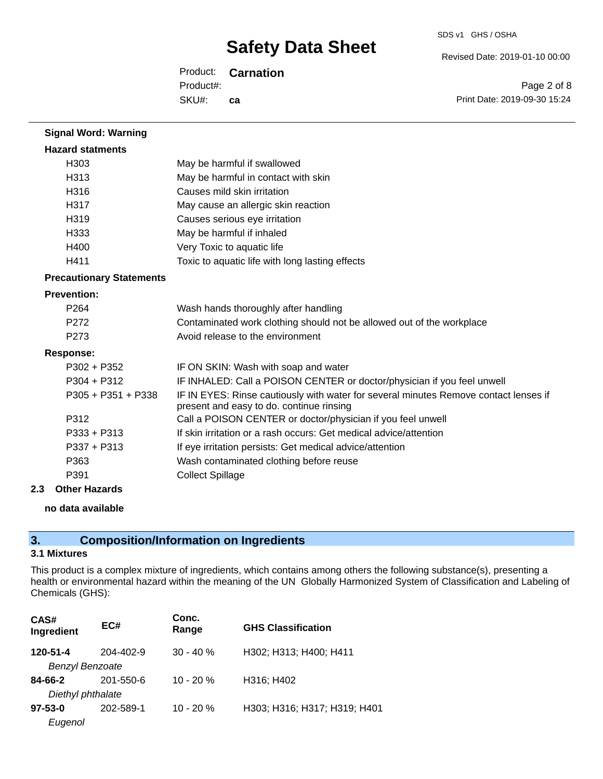Revised Date: 2019-01-10 00:00

Product: **Carnation** SKU#: Product#: **ca**

Page 2 of 8 Print Date: 2019-09-30 15:24

| <b>Signal Word: Warning</b>     |                                                                                                                                  |
|---------------------------------|----------------------------------------------------------------------------------------------------------------------------------|
| <b>Hazard statments</b>         |                                                                                                                                  |
| H303                            | May be harmful if swallowed                                                                                                      |
| H313                            | May be harmful in contact with skin                                                                                              |
| H316                            | Causes mild skin irritation                                                                                                      |
| H317                            | May cause an allergic skin reaction                                                                                              |
| H319                            | Causes serious eye irritation                                                                                                    |
| H333                            | May be harmful if inhaled                                                                                                        |
| H400                            | Very Toxic to aquatic life                                                                                                       |
| H411                            | Toxic to aquatic life with long lasting effects                                                                                  |
| <b>Precautionary Statements</b> |                                                                                                                                  |
| <b>Prevention:</b>              |                                                                                                                                  |
| P <sub>264</sub>                | Wash hands thoroughly after handling                                                                                             |
| P272                            | Contaminated work clothing should not be allowed out of the workplace                                                            |
| P273                            | Avoid release to the environment                                                                                                 |
| <b>Response:</b>                |                                                                                                                                  |
| $P302 + P352$                   | IF ON SKIN: Wash with soap and water                                                                                             |
| $P304 + P312$                   | IF INHALED: Call a POISON CENTER or doctor/physician if you feel unwell                                                          |
| $P305 + P351 + P338$            | IF IN EYES: Rinse cautiously with water for several minutes Remove contact lenses if<br>present and easy to do. continue rinsing |
| P312                            | Call a POISON CENTER or doctor/physician if you feel unwell                                                                      |
| P333 + P313                     | If skin irritation or a rash occurs: Get medical advice/attention                                                                |
| P337 + P313                     | If eye irritation persists: Get medical advice/attention                                                                         |
| P363                            | Wash contaminated clothing before reuse                                                                                          |
| P391                            | <b>Collect Spillage</b>                                                                                                          |

## **2.3 Other Hazards**

## **no data available**

## **3. Composition/Information on Ingredients**

## **3.1 Mixtures**

This product is a complex mixture of ingredients, which contains among others the following substance(s), presenting a health or environmental hazard within the meaning of the UN Globally Harmonized System of Classification and Labeling of Chemicals (GHS):

| CAS#<br>Ingredient     | EC#       | Conc.<br>Range | <b>GHS Classification</b>    |
|------------------------|-----------|----------------|------------------------------|
| 120-51-4               | 204-402-9 | $30 - 40 \%$   | H302; H313; H400; H411       |
| <b>Benzyl Benzoate</b> |           |                |                              |
| 84-66-2                | 201-550-6 | $10 - 20%$     | H316; H402                   |
| Diethyl phthalate      |           |                |                              |
| $97 - 53 - 0$          | 202-589-1 | $10 - 20%$     | H303; H316; H317; H319; H401 |
| Eugenol                |           |                |                              |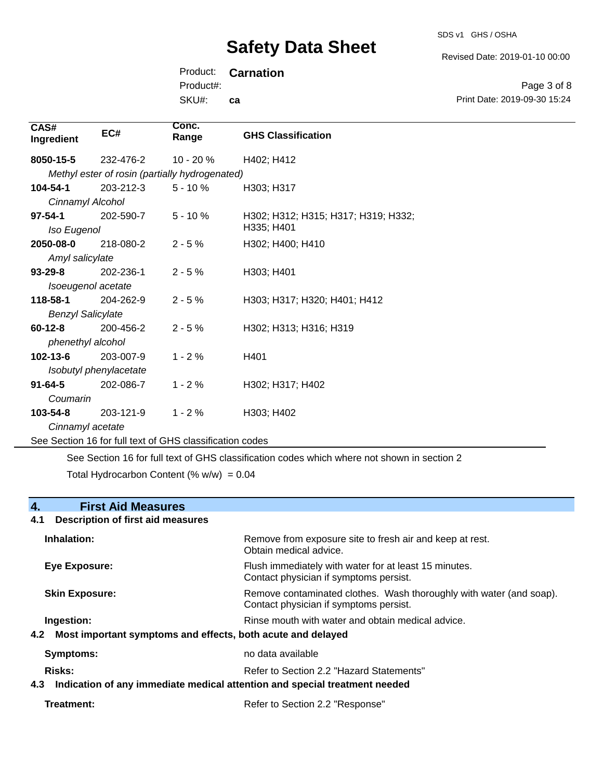SDS v1 GHS / OSHA

Revised Date: 2019-01-10 00:00

Print Date: 2019-09-30 15:24

Page 3 of 8

Product: **Carnation** Product#:

SKU#: **ca**

| CAS#<br>Ingredient       | EC#                    | Conc.<br>Range                                 | <b>GHS Classification</b>           |
|--------------------------|------------------------|------------------------------------------------|-------------------------------------|
| 8050-15-5                | 232-476-2              | $10 - 20%$                                     | H402; H412                          |
|                          |                        | Methyl ester of rosin (partially hydrogenated) |                                     |
| 104-54-1                 | 203-212-3              | $5 - 10 \%$                                    | H303; H317                          |
| Cinnamyl Alcohol         |                        |                                                |                                     |
| $97 - 54 - 1$            | 202-590-7              | $5 - 10 \%$                                    | H302; H312; H315; H317; H319; H332; |
| Iso Eugenol              |                        |                                                | H335; H401                          |
| 2050-08-0                | 218-080-2              | $2 - 5%$                                       | H302; H400; H410                    |
| Amyl salicylate          |                        |                                                |                                     |
| $93 - 29 - 8$            | 202-236-1              | $2 - 5%$                                       | H303; H401                          |
|                          | Isoeugenol acetate     |                                                |                                     |
| 118-58-1                 | 204-262-9              | $2 - 5%$                                       | H303; H317; H320; H401; H412        |
| <b>Benzyl Salicylate</b> |                        |                                                |                                     |
| $60 - 12 - 8$            | 200-456-2              | $2 - 5%$                                       | H302; H313; H316; H319              |
| phenethyl alcohol        |                        |                                                |                                     |
| $102 - 13 - 6$           | 203-007-9              | $1 - 2%$                                       | H401                                |
|                          | Isobutyl phenylacetate |                                                |                                     |
| $91 - 64 - 5$            | 202-086-7              | $1 - 2%$                                       | H302; H317; H402                    |
| Coumarin                 |                        |                                                |                                     |
| $103 - 54 - 8$           | 203-121-9              | $1 - 2%$                                       | H303; H402                          |
| Cinnamyl acetate         |                        |                                                |                                     |

See Section 16 for full text of GHS classification codes

See Section 16 for full text of GHS classification codes which where not shown in section 2

Total Hydrocarbon Content (%  $w/w$ ) = 0.04

## **4. First Aid Measures**

# **4.1 Description of first aid measures**

| Inhalation:           | Remove from exposure site to fresh air and keep at rest.<br>Obtain medical advice.                            |
|-----------------------|---------------------------------------------------------------------------------------------------------------|
| Eye Exposure:         | Flush immediately with water for at least 15 minutes.<br>Contact physician if symptoms persist.               |
| <b>Skin Exposure:</b> | Remove contaminated clothes. Wash thoroughly with water (and soap).<br>Contact physician if symptoms persist. |
| Ingestion:            | Rinse mouth with water and obtain medical advice.                                                             |
| 4.2                   | Most important symptoms and effects, both acute and delayed                                                   |
| Symptoms:             | no data available                                                                                             |

**Risks:** Risks: Refer to Section 2.2 "Hazard Statements" **4.3 Indication of any immediate medical attention and special treatment needed**

Treatment: Treatment: Treatment: Refer to Section 2.2 "Response"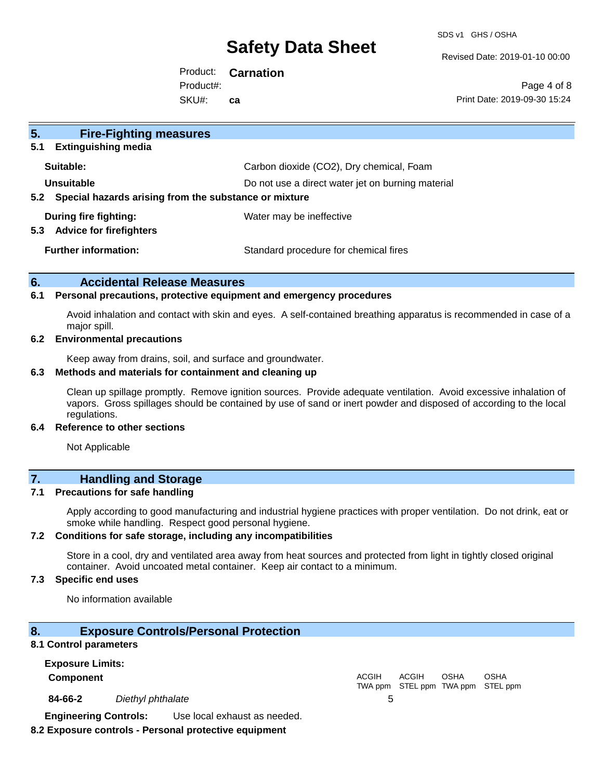SDS v1 GHS / OSHA

Revised Date: 2019-01-10 00:00

Product: **Carnation** SKU#: Product#: **ca**

Page 4 of 8 Print Date: 2019-09-30 15:24

| 5 <sub>1</sub><br><b>Fire-Fighting measures</b>                |                                                   |
|----------------------------------------------------------------|---------------------------------------------------|
| <b>Extinguishing media</b><br>5.1                              |                                                   |
| Suitable:                                                      | Carbon dioxide (CO2), Dry chemical, Foam          |
| Unsuitable                                                     | Do not use a direct water jet on burning material |
| Special hazards arising from the substance or mixture<br>5.2   |                                                   |
| During fire fighting:<br><b>Advice for firefighters</b><br>5.3 | Water may be ineffective                          |
| <b>Further information:</b>                                    | Standard procedure for chemical fires             |

### **6. Accidental Release Measures**

#### **6.1 Personal precautions, protective equipment and emergency procedures**

Avoid inhalation and contact with skin and eyes. A self-contained breathing apparatus is recommended in case of a major spill.

#### **6.2 Environmental precautions**

Keep away from drains, soil, and surface and groundwater.

#### **6.3 Methods and materials for containment and cleaning up**

Clean up spillage promptly. Remove ignition sources. Provide adequate ventilation. Avoid excessive inhalation of vapors. Gross spillages should be contained by use of sand or inert powder and disposed of according to the local regulations.

#### **6.4 Reference to other sections**

Not Applicable

## **7. Handling and Storage**

#### **7.1 Precautions for safe handling**

Apply according to good manufacturing and industrial hygiene practices with proper ventilation. Do not drink, eat or smoke while handling. Respect good personal hygiene.

#### **7.2 Conditions for safe storage, including any incompatibilities**

Store in a cool, dry and ventilated area away from heat sources and protected from light in tightly closed original container. Avoid uncoated metal container. Keep air contact to a minimum.

#### **7.3 Specific end uses**

No information available

### **8. Exposure Controls/Personal Protection**

#### **8.1 Control parameters**

**Exposure Limits: Component** ACGIH TWA ppm STEL ppm TWA ppm STEL ppm ACGIH **OSHA** OSHA **84-66-2** *Diethyl phthalate* 5 **Engineering Controls:** Use local exhaust as needed.

## **8.2 Exposure controls - Personal protective equipment**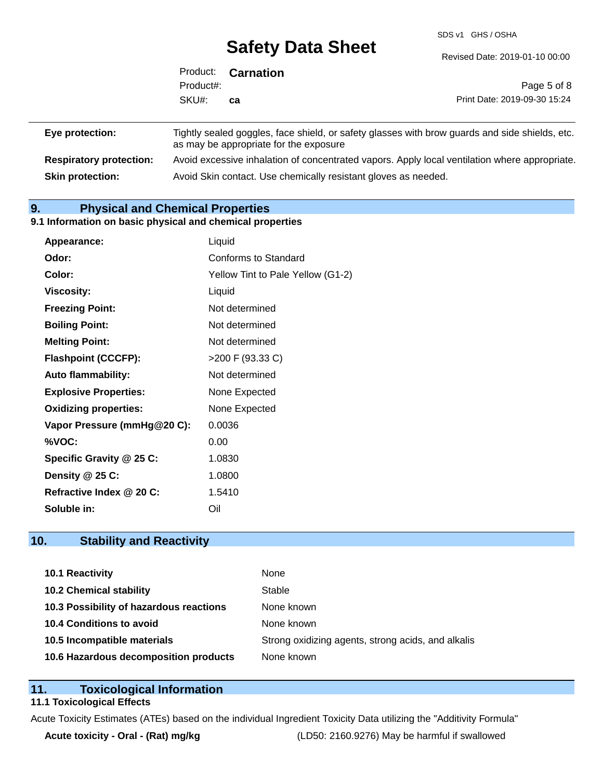SDS v1 GHS / OSHA

|                                | Product:  | <b>Carnation</b>                                               |                                                                                                |
|--------------------------------|-----------|----------------------------------------------------------------|------------------------------------------------------------------------------------------------|
|                                | Product#: |                                                                | Page 5 of 8                                                                                    |
|                                | SKU#:     | ca                                                             | Print Date: 2019-09-30 15:24                                                                   |
|                                |           |                                                                |                                                                                                |
| Eye protection:                |           | as may be appropriate for the exposure                         | Tightly sealed goggles, face shield, or safety glasses with brow guards and side shields, etc. |
| <b>Respiratory protection:</b> |           |                                                                | Avoid excessive inhalation of concentrated vapors. Apply local ventilation where appropriate.  |
| <b>Skin protection:</b>        |           | Avoid Skin contact. Use chemically resistant gloves as needed. |                                                                                                |

## **9. Physical and Chemical Properties**

#### **9.1 Information on basic physical and chemical properties**

| Appearance:                  | Liquid                            |
|------------------------------|-----------------------------------|
| Odor:                        | Conforms to Standard              |
| Color:                       | Yellow Tint to Pale Yellow (G1-2) |
| Viscosity:                   | Liquid                            |
| <b>Freezing Point:</b>       | Not determined                    |
| <b>Boiling Point:</b>        | Not determined                    |
| <b>Melting Point:</b>        | Not determined                    |
| <b>Flashpoint (CCCFP):</b>   | >200 F (93.33 C)                  |
| <b>Auto flammability:</b>    | Not determined                    |
| <b>Explosive Properties:</b> | None Expected                     |
| <b>Oxidizing properties:</b> | None Expected                     |
| Vapor Pressure (mmHg@20 C):  | 0.0036                            |
| %VOC:                        | 0.00                              |
| Specific Gravity @ 25 C:     | 1.0830                            |
| Density @ 25 C:              | 1.0800                            |
| Refractive Index @ 20 C:     | 1.5410                            |
| Soluble in:                  | Oil                               |

## **10. Stability and Reactivity**

| 10.1 Reactivity                         | None                                               |
|-----------------------------------------|----------------------------------------------------|
| <b>10.2 Chemical stability</b>          | Stable                                             |
| 10.3 Possibility of hazardous reactions | None known                                         |
| 10.4 Conditions to avoid                | None known                                         |
| 10.5 Incompatible materials             | Strong oxidizing agents, strong acids, and alkalis |
| 10.6 Hazardous decomposition products   | None known                                         |

## **11. Toxicological Information**

## **11.1 Toxicological Effects**

Acute Toxicity Estimates (ATEs) based on the individual Ingredient Toxicity Data utilizing the "Additivity Formula"

**Acute toxicity - Oral - (Rat) mg/kg** (LD50: 2160.9276) May be harmful if swallowed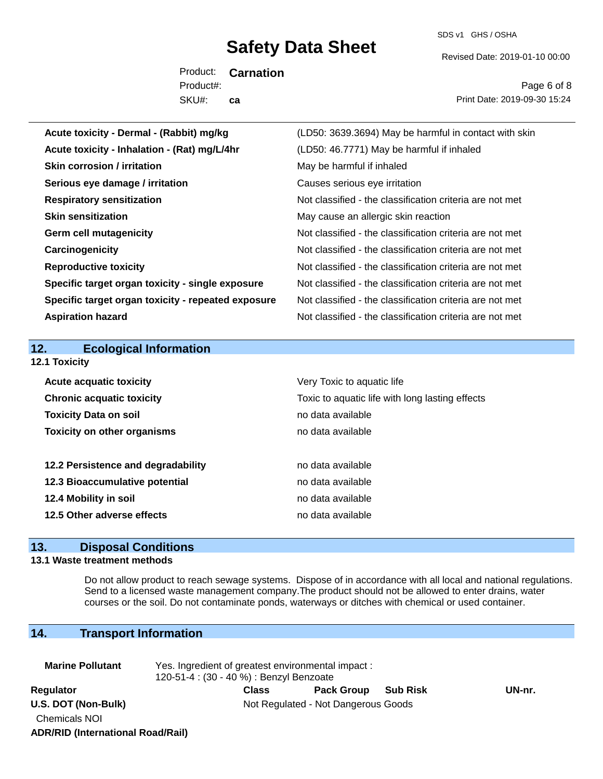SDS v1 GHS / OSHA

Revised Date: 2019-01-10 00:00

Product: **Carnation** SKU#: Product#: **ca**

Page 6 of 8 Print Date: 2019-09-30 15:24

| Acute toxicity - Dermal - (Rabbit) mg/kg           | (LD50: 3639.3694) May be harmful in contact with skin    |
|----------------------------------------------------|----------------------------------------------------------|
| Acute toxicity - Inhalation - (Rat) mg/L/4hr       | (LD50: 46.7771) May be harmful if inhaled                |
| <b>Skin corrosion / irritation</b>                 | May be harmful if inhaled                                |
| Serious eye damage / irritation                    | Causes serious eye irritation                            |
| <b>Respiratory sensitization</b>                   | Not classified - the classification criteria are not met |
| <b>Skin sensitization</b>                          | May cause an allergic skin reaction                      |
| <b>Germ cell mutagenicity</b>                      | Not classified - the classification criteria are not met |
| Carcinogenicity                                    | Not classified - the classification criteria are not met |
| <b>Reproductive toxicity</b>                       | Not classified - the classification criteria are not met |
| Specific target organ toxicity - single exposure   | Not classified - the classification criteria are not met |
| Specific target organ toxicity - repeated exposure | Not classified - the classification criteria are not met |
| <b>Aspiration hazard</b>                           | Not classified - the classification criteria are not met |
|                                                    |                                                          |
| <b>Ecological Information</b><br>12.               |                                                          |
| 12.1 Toxicity                                      |                                                          |
| <b>Acute acquatic toxicity</b>                     | Very Toxic to aquatic life                               |
| <b>Chronic acquatic toxicity</b>                   | Toxic to aquatic life with long lasting effects          |
| <b>Toxicity Data on soil</b>                       | no data available                                        |
| <b>Toxicity on other organisms</b>                 | no data available                                        |
|                                                    |                                                          |
| 12.2 Persistence and degradability                 | no data available                                        |
| 12.3 Bioaccumulative potential                     | no data available                                        |
| 12.4 Mobility in soil                              |                                                          |
|                                                    | no data available                                        |
| 12.5 Other adverse effects                         | no data available                                        |
| $\sim$<br>100.00                                   |                                                          |

## **13. Disposal Conditions**

## **13.1 Waste treatment methods**

Do not allow product to reach sewage systems. Dispose of in accordance with all local and national regulations. Send to a licensed waste management company.The product should not be allowed to enter drains, water courses or the soil. Do not contaminate ponds, waterways or ditches with chemical or used container.

## **14. Transport Information**

| <b>Marine Pollutant</b>                     | Yes. Ingredient of greatest environmental impact:<br>120-51-4 : (30 - 40 %) : Benzyl Benzoate |              |                                     |                 |        |
|---------------------------------------------|-----------------------------------------------------------------------------------------------|--------------|-------------------------------------|-----------------|--------|
| <b>Regulator</b>                            |                                                                                               | <b>Class</b> | <b>Pack Group</b>                   | <b>Sub Risk</b> | UN-nr. |
| U.S. DOT (Non-Bulk)<br><b>Chemicals NOI</b> |                                                                                               |              | Not Regulated - Not Dangerous Goods |                 |        |

**ADR/RID (International Road/Rail)**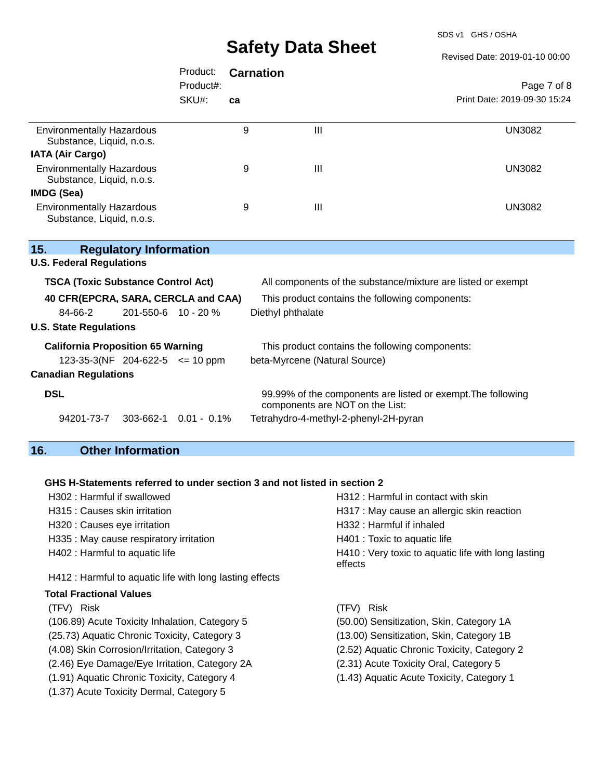SDS v1 GHS / OSHA

Revised Date: 2019-01-10 00:00

|                                                               | Product:            | <b>Carnation</b> |                                                 |                                                              |
|---------------------------------------------------------------|---------------------|------------------|-------------------------------------------------|--------------------------------------------------------------|
|                                                               | Product#:           |                  |                                                 | Page 7 of 8                                                  |
|                                                               | SKU#:               | ca               |                                                 | Print Date: 2019-09-30 15:24                                 |
| <b>Environmentally Hazardous</b><br>Substance, Liquid, n.o.s. |                     | 9                | $\mathbf{III}$                                  | <b>UN3082</b>                                                |
| <b>IATA (Air Cargo)</b>                                       |                     |                  |                                                 |                                                              |
| <b>Environmentally Hazardous</b><br>Substance, Liquid, n.o.s. |                     | 9                | $\mathbf{III}$                                  | <b>UN3082</b>                                                |
| IMDG (Sea)                                                    |                     |                  |                                                 |                                                              |
| <b>Environmentally Hazardous</b><br>Substance, Liquid, n.o.s. |                     | 9                | III                                             | <b>UN3082</b>                                                |
| 15.<br><b>Regulatory Information</b>                          |                     |                  |                                                 |                                                              |
| <b>U.S. Federal Regulations</b>                               |                     |                  |                                                 |                                                              |
| <b>TSCA (Toxic Substance Control Act)</b>                     |                     |                  |                                                 | All components of the substance/mixture are listed or exempt |
| 40 CFR(EPCRA, SARA, CERCLA and CAA)                           |                     |                  | This product contains the following components: |                                                              |
| 84-66-2                                                       | 201-550-6 10 - 20 % |                  | Diethyl phthalate                               |                                                              |
| <b>U.S. State Regulations</b>                                 |                     |                  |                                                 |                                                              |
| <b>California Proposition 65 Warning</b>                      |                     |                  | This product contains the following components: |                                                              |
| 123-35-3(NF 204-622-5 $\leq$ 10 ppm                           |                     |                  | beta-Myrcene (Natural Source)                   |                                                              |
| <b>Canadian Regulations</b>                                   |                     |                  |                                                 |                                                              |
| <b>DSL</b>                                                    |                     |                  | components are NOT on the List:                 | 99.99% of the components are listed or exempt. The following |
| 303-662-1<br>94201-73-7                                       | $0.01 - 0.1\%$      |                  | Tetrahydro-4-methyl-2-phenyl-2H-pyran           |                                                              |

## **16. Other Information**

## **GHS H-Statements referred to under section 3 and not listed in section 2**

| H302 : Harmful if swallowed                              | H312 : Harmful in contact with skin                            |
|----------------------------------------------------------|----------------------------------------------------------------|
| H315 : Causes skin irritation                            | H317 : May cause an allergic skin reaction                     |
| H320 : Causes eye irritation                             | H332 : Harmful if inhaled                                      |
| H335 : May cause respiratory irritation                  | H401 : Toxic to aquatic life                                   |
| H402 : Harmful to aquatic life                           | H410 : Very toxic to aquatic life with long lasting<br>effects |
| H412 : Harmful to aquatic life with long lasting effects |                                                                |
| <b>Total Fractional Values</b>                           |                                                                |
| (TFV) Risk                                               | Risk<br>(TFV)                                                  |
| (106.89) Acute Toxicity Inhalation, Category 5           | (50.00) Sensitization, Skin, Category 1A                       |
| (25.73) Aquatic Chronic Toxicity, Category 3             | (13.00) Sensitization, Skin, Category 1B                       |
| (4.08) Skin Corrosion/Irritation, Category 3             | (2.52) Aquatic Chronic Toxicity, Category 2                    |
| (2.46) Eye Damage/Eye Irritation, Category 2A            | (2.31) Acute Toxicity Oral, Category 5                         |
| (1.91) Aquatic Chronic Toxicity, Category 4              | (1.43) Aquatic Acute Toxicity, Category 1                      |
| (1.37) Acute Toxicity Dermal, Category 5                 |                                                                |